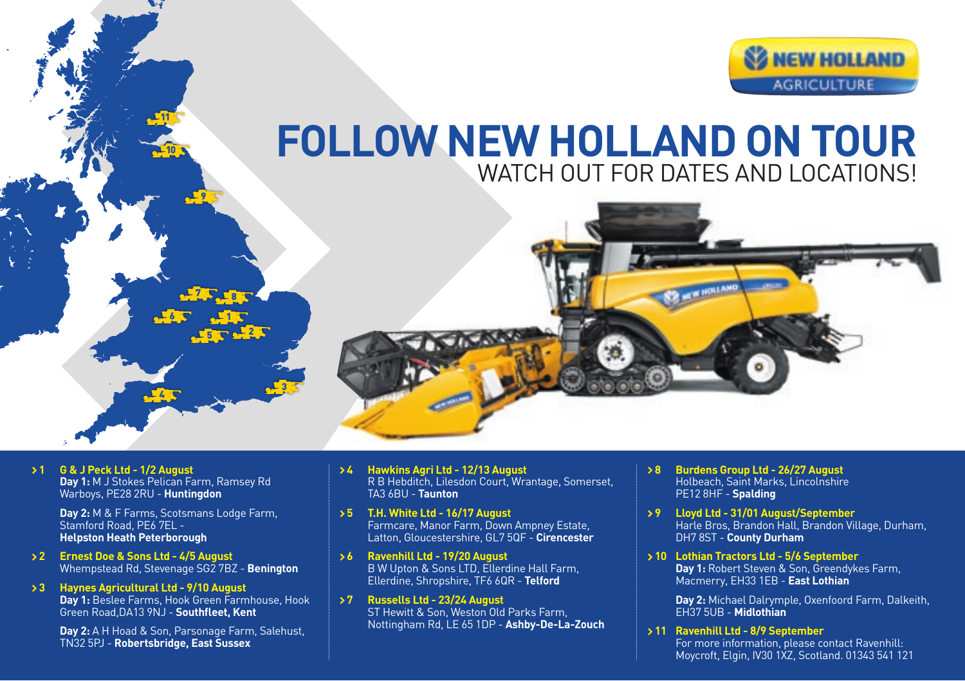

## **FOLLOW NEW HOLLAND ON TOUR** WATCH OUT FOR DATES AND LOCATIONS!



 **1 G & J Peck Ltd - 1/2 August Day 1:** M J Stokes Pelican Farm, Ramsey Rd Warboys, PE28 2RU - **Huntingdon**

> **Day 2:** M & F Farms, Scotsmans Lodge Farm, Stamford Road, PF6 7FL -**Helpston Heath Peterborough**

6

11

10

 $4 - 3$ 

3 T 2 2

1

2,5 r 8

9

- **2 Ernest Doe & Sons Ltd 4/5 August** Whempstead Rd, Stevenage SG2 7BZ - **Benington**
- **3 Haynes Agricultural Ltd 9/10 August Day 1:** Beslee Farms, Hook Green Farmhouse, Hook Green Road,DA13 9NJ - **Southfleet, Kent**

**Day 2:** A H Hoad & Son, Parsonage Farm, Salehust, TN32 5PJ - **Robertsbridge, East Sussex**

- **4 Hawkins Agri Ltd 12/13 August** R B Hebditch, Lilesdon Court, Wrantage, Somerset, TA3 6BU - **Taunton**
- **5 T.H. White Ltd 16/17 August** Farmcare, Manor Farm, Down Ampney Estate, Latton, Gloucestershire, GL7 5QF - **Cirencester**
- **6 Ravenhill Ltd 19/20 August** B W Upton & Sons LTD, Ellerdine Hall Farm, Ellerdine, Shropshire, TF6 6QR - **Telford**
- **7 Russells Ltd 23/24 August** ST Hewitt & Son, Weston Old Parks Farm, Nottingham Rd, LE 65 1DP - **Ashby-De-La-Zouch**
- **8 Burdens Group Ltd 26/27 August** Holbeach, Saint Marks, Lincolnshire PE12 8HF - **Spalding**
- **9 Lloyd Ltd 31/01 August/September** Harle Bros, Brandon Hall, Brandon Village, Durham, DH7 8ST - **County Durham**

 **10 Lothian Tractors Ltd - 5/6 September Day 1:** Robert Steven & Son, Greendykes Farm, Macmerry, EH33 1EB - **East Lothian**

> **Day 2:** Michael Dalrymple, Oxenfoord Farm, Dalkeith, EH37 5UB - **Midlothian**

 **11 Ravenhill Ltd - 8/9 September** For more information, please contact Ravenhill: Moycroft, Elgin, IV30 1XZ, Scotland. 01343 541 121